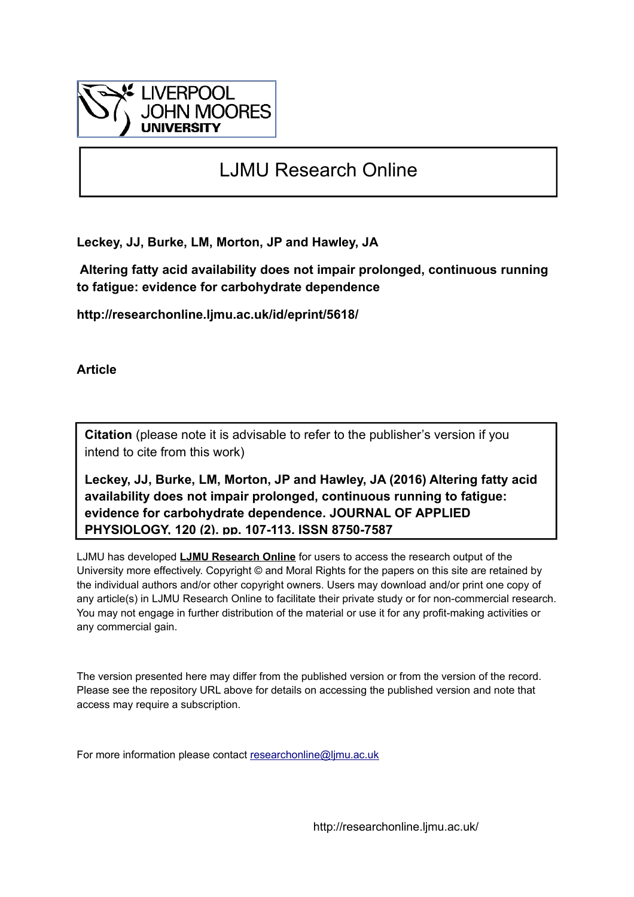

# LJMU Research Online

**Leckey, JJ, Burke, LM, Morton, JP and Hawley, JA**

 **Altering fatty acid availability does not impair prolonged, continuous running to fatigue: evidence for carbohydrate dependence**

**http://researchonline.ljmu.ac.uk/id/eprint/5618/**

**Article**

**Citation** (please note it is advisable to refer to the publisher's version if you intend to cite from this work)

**Leckey, JJ, Burke, LM, Morton, JP and Hawley, JA (2016) Altering fatty acid availability does not impair prolonged, continuous running to fatigue: evidence for carbohydrate dependence. JOURNAL OF APPLIED PHYSIOLOGY, 120 (2). pp. 107-113. ISSN 8750-7587** 

LJMU has developed **[LJMU Research Online](http://researchonline.ljmu.ac.uk/)** for users to access the research output of the University more effectively. Copyright © and Moral Rights for the papers on this site are retained by the individual authors and/or other copyright owners. Users may download and/or print one copy of any article(s) in LJMU Research Online to facilitate their private study or for non-commercial research. You may not engage in further distribution of the material or use it for any profit-making activities or any commercial gain.

The version presented here may differ from the published version or from the version of the record. Please see the repository URL above for details on accessing the published version and note that access may require a subscription.

For more information please contact [researchonline@ljmu.ac.uk](mailto:researchonline@ljmu.ac.uk)

http://researchonline.ljmu.ac.uk/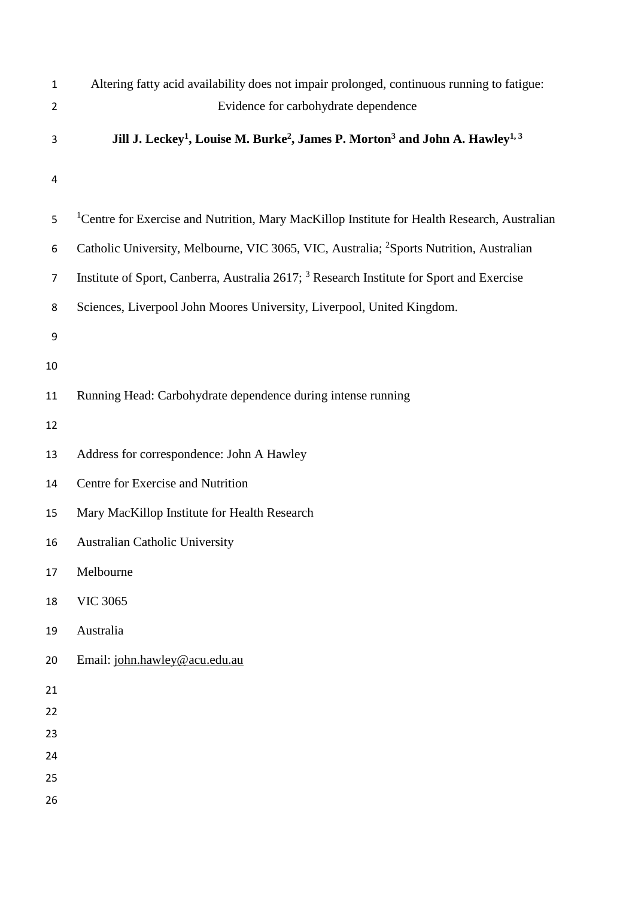| $\mathbf{1}$   | Altering fatty acid availability does not impair prolonged, continuous running to fatigue:                                   |  |  |  |  |  |
|----------------|------------------------------------------------------------------------------------------------------------------------------|--|--|--|--|--|
| $\overline{2}$ | Evidence for carbohydrate dependence                                                                                         |  |  |  |  |  |
| 3              | Jill J. Leckey <sup>1</sup> , Louise M. Burke <sup>2</sup> , James P. Morton <sup>3</sup> and John A. Hawley <sup>1, 3</sup> |  |  |  |  |  |
| 4              |                                                                                                                              |  |  |  |  |  |
| 5              | <sup>1</sup> Centre for Exercise and Nutrition, Mary MacKillop Institute for Health Research, Australian                     |  |  |  |  |  |
| 6              | Catholic University, Melbourne, VIC 3065, VIC, Australia; <sup>2</sup> Sports Nutrition, Australian                          |  |  |  |  |  |
| $\overline{7}$ | Institute of Sport, Canberra, Australia 2617; <sup>3</sup> Research Institute for Sport and Exercise                         |  |  |  |  |  |
| 8              | Sciences, Liverpool John Moores University, Liverpool, United Kingdom.                                                       |  |  |  |  |  |
| 9              |                                                                                                                              |  |  |  |  |  |
| 10             |                                                                                                                              |  |  |  |  |  |
| 11             | Running Head: Carbohydrate dependence during intense running                                                                 |  |  |  |  |  |
| 12             |                                                                                                                              |  |  |  |  |  |
| 13             | Address for correspondence: John A Hawley                                                                                    |  |  |  |  |  |
| 14             | Centre for Exercise and Nutrition                                                                                            |  |  |  |  |  |
| 15             | Mary MacKillop Institute for Health Research                                                                                 |  |  |  |  |  |
| 16             | <b>Australian Catholic University</b>                                                                                        |  |  |  |  |  |
| 17             | Melbourne                                                                                                                    |  |  |  |  |  |
| 18             | <b>VIC 3065</b>                                                                                                              |  |  |  |  |  |
| 19             | Australia                                                                                                                    |  |  |  |  |  |
| 20             | Email: john.hawley@acu.edu.au                                                                                                |  |  |  |  |  |
| 21             |                                                                                                                              |  |  |  |  |  |
| 22             |                                                                                                                              |  |  |  |  |  |
| 23             |                                                                                                                              |  |  |  |  |  |
| 24<br>25       |                                                                                                                              |  |  |  |  |  |
| 26             |                                                                                                                              |  |  |  |  |  |
|                |                                                                                                                              |  |  |  |  |  |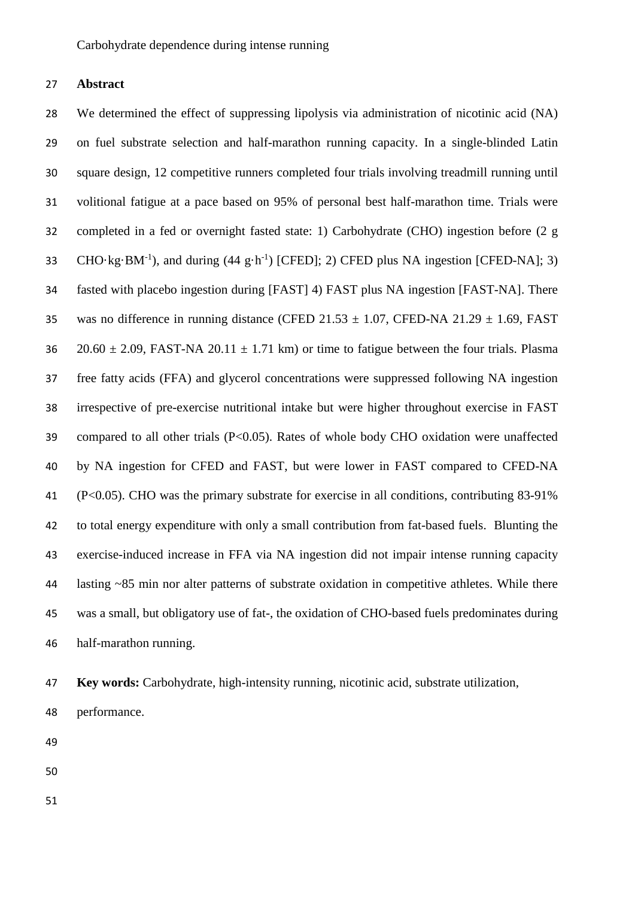**Abstract**

 We determined the effect of suppressing lipolysis via administration of nicotinic acid (NA) on fuel substrate selection and half-marathon running capacity. In a single-blinded Latin square design, 12 competitive runners completed four trials involving treadmill running until volitional fatigue at a pace based on 95% of personal best half-marathon time. Trials were completed in a fed or overnight fasted state: 1) Carbohydrate (CHO) ingestion before (2 g 33 CHO·kg·BM<sup>-1</sup>), and during  $(44 \text{ g} \cdot \text{h}^{-1})$  [CFED]; 2) CFED plus NA ingestion [CFED-NA]; 3) fasted with placebo ingestion during [FAST] 4) FAST plus NA ingestion [FAST-NA]. There 35 was no difference in running distance (CFED 21.53  $\pm$  1.07, CFED-NA 21.29  $\pm$  1.69, FAST 36 20.60  $\pm$  2.09, FAST-NA 20.11  $\pm$  1.71 km) or time to fatigue between the four trials. Plasma free fatty acids (FFA) and glycerol concentrations were suppressed following NA ingestion irrespective of pre-exercise nutritional intake but were higher throughout exercise in FAST compared to all other trials (P<0.05). Rates of whole body CHO oxidation were unaffected by NA ingestion for CFED and FAST, but were lower in FAST compared to CFED-NA (P<0.05). CHO was the primary substrate for exercise in all conditions, contributing 83-91% to total energy expenditure with only a small contribution from fat-based fuels. Blunting the exercise-induced increase in FFA via NA ingestion did not impair intense running capacity lasting ~85 min nor alter patterns of substrate oxidation in competitive athletes. While there was a small, but obligatory use of fat-, the oxidation of CHO-based fuels predominates during half-marathon running.

 **Key words:** Carbohydrate, high-intensity running, nicotinic acid, substrate utilization, performance.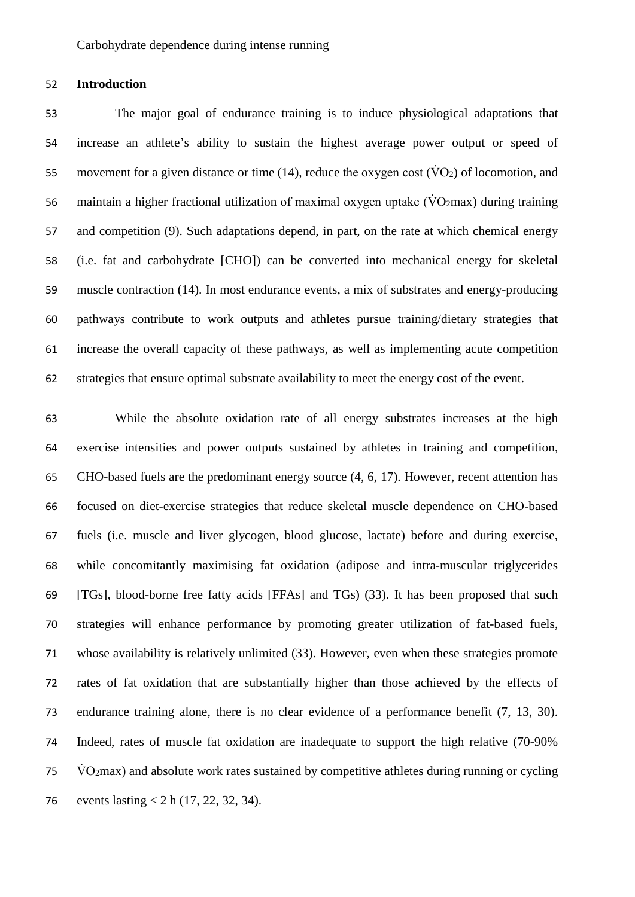#### **Introduction**

 The major goal of endurance training is to induce physiological adaptations that increase an athlete's ability to sustain the highest average power output or speed of 55 movement for a given distance or time (14), reduce the oxygen cost ( $\dot{V}O_2$ ) of locomotion, and 56 maintain a higher fractional utilization of maximal oxygen uptake  $(\dot{V}O_2 \text{max})$  during training and competition (9). Such adaptations depend, in part, on the rate at which chemical energy (i.e. fat and carbohydrate [CHO]) can be converted into mechanical energy for skeletal muscle contraction (14). In most endurance events, a mix of substrates and energy-producing pathways contribute to work outputs and athletes pursue training/dietary strategies that increase the overall capacity of these pathways, as well as implementing acute competition strategies that ensure optimal substrate availability to meet the energy cost of the event.

 While the absolute oxidation rate of all energy substrates increases at the high exercise intensities and power outputs sustained by athletes in training and competition, CHO-based fuels are the predominant energy source (4, 6, 17). However, recent attention has focused on diet-exercise strategies that reduce skeletal muscle dependence on CHO-based fuels (i.e. muscle and liver glycogen, blood glucose, lactate) before and during exercise, while concomitantly maximising fat oxidation (adipose and intra-muscular triglycerides [TGs], blood-borne free fatty acids [FFAs] and TGs) (33). It has been proposed that such strategies will enhance performance by promoting greater utilization of fat-based fuels, whose availability is relatively unlimited (33). However, even when these strategies promote rates of fat oxidation that are substantially higher than those achieved by the effects of endurance training alone, there is no clear evidence of a performance benefit (7, 13, 30). Indeed, rates of muscle fat oxidation are inadequate to support the high relative (70-90% VO<sub>2</sub>max) and absolute work rates sustained by competitive athletes during running or cycling events lasting < 2 h (17, 22, 32, 34).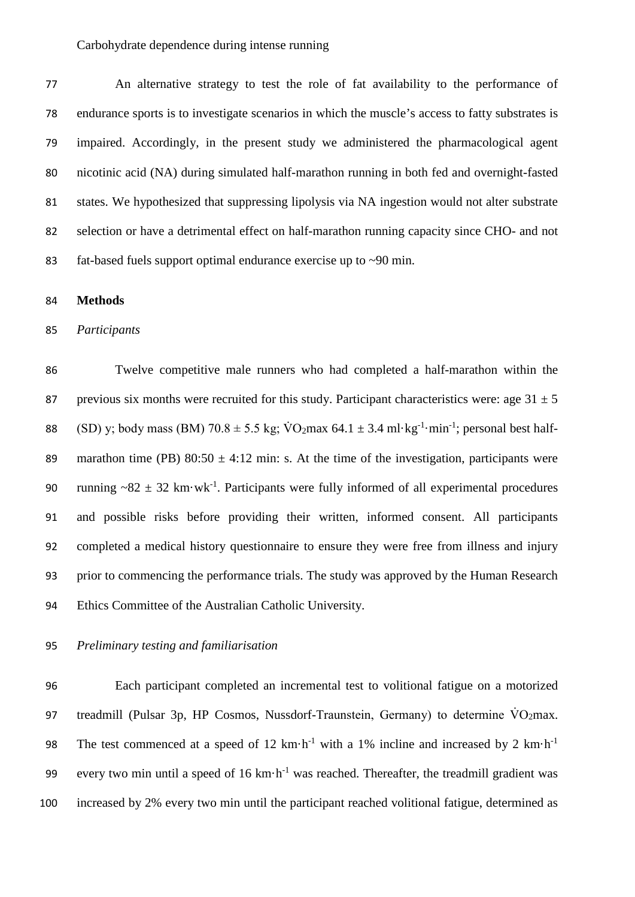An alternative strategy to test the role of fat availability to the performance of endurance sports is to investigate scenarios in which the muscle's access to fatty substrates is impaired. Accordingly, in the present study we administered the pharmacological agent nicotinic acid (NA) during simulated half-marathon running in both fed and overnight-fasted states. We hypothesized that suppressing lipolysis via NA ingestion would not alter substrate selection or have a detrimental effect on half-marathon running capacity since CHO- and not fat-based fuels support optimal endurance exercise up to ~90 min.

## **Methods**

#### *Participants*

 Twelve competitive male runners who had completed a half-marathon within the 87 previous six months were recruited for this study. Participant characteristics were: age  $31 \pm 5$ 88 (SD) y; body mass (BM)  $70.8 \pm 5.5$  kg;  $\text{VO}_2$ max 64.1  $\pm$  3.4 ml·kg<sup>-1</sup>·min<sup>-1</sup>; personal best half-89 marathon time (PB)  $80:50 \pm 4:12$  min: s. At the time of the investigation, participants were 90 running  $\sim 82 \pm 32$  km·wk<sup>-1</sup>. Participants were fully informed of all experimental procedures and possible risks before providing their written, informed consent. All participants completed a medical history questionnaire to ensure they were free from illness and injury prior to commencing the performance trials. The study was approved by the Human Research Ethics Committee of the Australian Catholic University.

## *Preliminary testing and familiarisation*

 Each participant completed an incremental test to volitional fatigue on a motorized 97 treadmill (Pulsar 3p, HP Cosmos, Nussdorf-Traunstein, Germany) to determine VO2max. 98 The test commenced at a speed of 12 km·h<sup>-1</sup> with a 1% incline and increased by 2 km·h<sup>-1</sup> 99 every two min until a speed of 16  $km \cdot h^{-1}$  was reached. Thereafter, the treadmill gradient was increased by 2% every two min until the participant reached volitional fatigue, determined as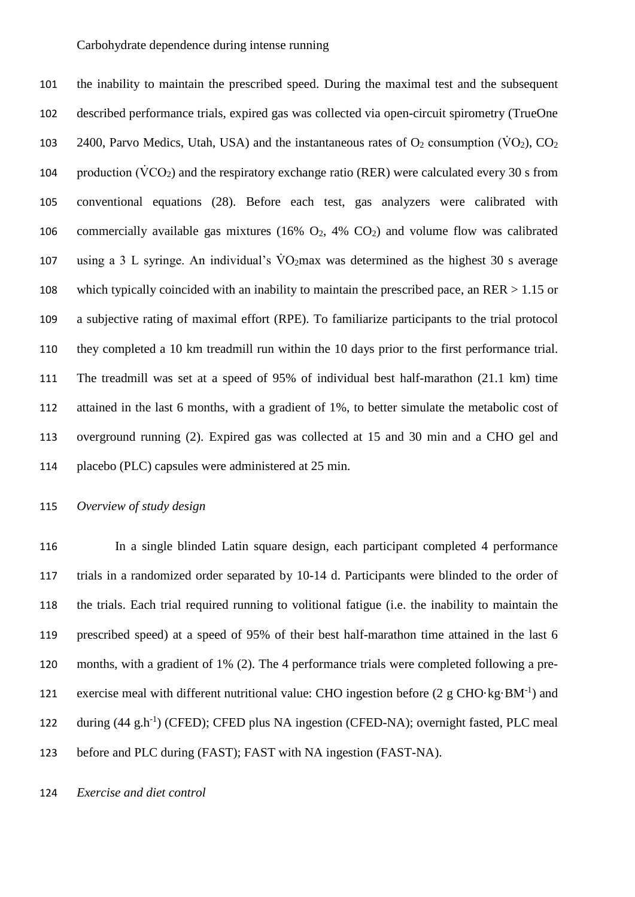the inability to maintain the prescribed speed. During the maximal test and the subsequent described performance trials, expired gas was collected via open-circuit spirometry (TrueOne 103 2400, Parvo Medics, Utah, USA) and the instantaneous rates of  $O_2$  consumption ( $\dot{V}O_2$ ),  $CO_2$ 104 production ( $\dot{V}CO_2$ ) and the respiratory exchange ratio (RER) were calculated every 30 s from conventional equations (28). Before each test, gas analyzers were calibrated with 106 commercially available gas mixtures (16%  $O_2$ , 4%  $CO_2$ ) and volume flow was calibrated 107 using a 3 L syringe. An individual's  $\dot{V}O_2$  max was determined as the highest 30 s average which typically coincided with an inability to maintain the prescribed pace, an RER > 1.15 or a subjective rating of maximal effort (RPE). To familiarize participants to the trial protocol they completed a 10 km treadmill run within the 10 days prior to the first performance trial. The treadmill was set at a speed of 95% of individual best half-marathon (21.1 km) time attained in the last 6 months, with a gradient of 1%, to better simulate the metabolic cost of overground running (2). Expired gas was collected at 15 and 30 min and a CHO gel and placebo (PLC) capsules were administered at 25 min.

*Overview of study design*

 In a single blinded Latin square design, each participant completed 4 performance trials in a randomized order separated by 10-14 d. Participants were blinded to the order of the trials. Each trial required running to volitional fatigue (i.e. the inability to maintain the prescribed speed) at a speed of 95% of their best half-marathon time attained in the last 6 months, with a gradient of 1% (2). The 4 performance trials were completed following a pre-121 exercise meal with different nutritional value: CHO ingestion before  $(2 \text{ g CHO·kg·BM<sup>-1</sup>})$  and 122 during  $(44 \text{ g.h}^{-1})$  (CFED); CFED plus NA ingestion (CFED-NA); overnight fasted, PLC meal before and PLC during (FAST); FAST with NA ingestion (FAST-NA).

*Exercise and diet control*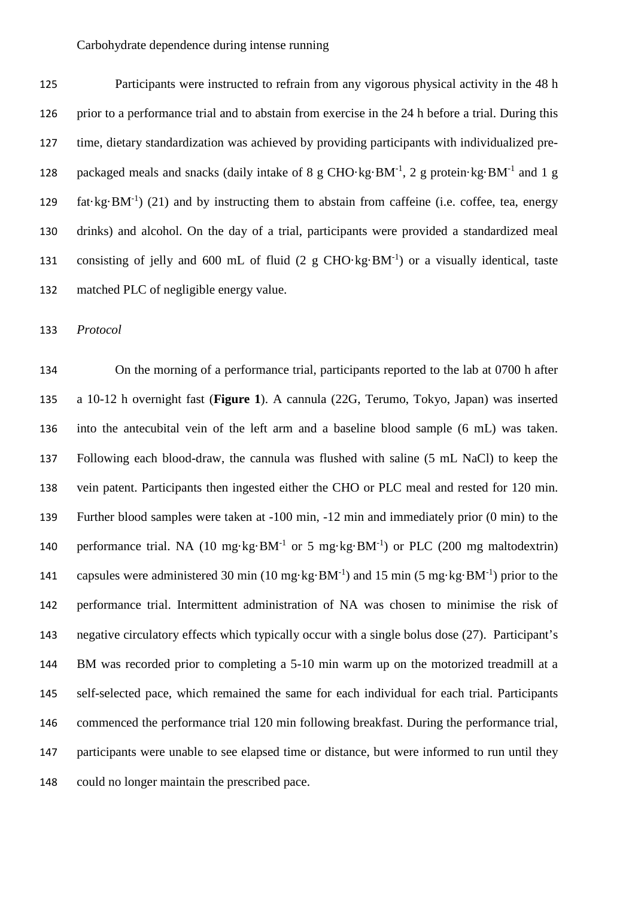Participants were instructed to refrain from any vigorous physical activity in the 48 h prior to a performance trial and to abstain from exercise in the 24 h before a trial. During this time, dietary standardization was achieved by providing participants with individualized pre-128 packaged meals and snacks (daily intake of 8 g CHO·kg·BM<sup>-1</sup>, 2 g protein·kg·BM<sup>-1</sup> and 1 g fat·kg·BM<sup>-1</sup>) (21) and by instructing them to abstain from caffeine (i.e. coffee, tea, energy drinks) and alcohol. On the day of a trial, participants were provided a standardized meal 131 consisting of jelly and 600 mL of fluid  $(2 \text{ g CHO·kg·BM<sup>-1</sup>)}$  or a visually identical, taste matched PLC of negligible energy value.

*Protocol*

 On the morning of a performance trial, participants reported to the lab at 0700 h after a 10-12 h overnight fast (**Figure 1**). A cannula (22G, Terumo, Tokyo, Japan) was inserted into the antecubital vein of the left arm and a baseline blood sample (6 mL) was taken. Following each blood-draw, the cannula was flushed with saline (5 mL NaCl) to keep the vein patent. Participants then ingested either the CHO or PLC meal and rested for 120 min. Further blood samples were taken at -100 min, -12 min and immediately prior (0 min) to the 140 performance trial. NA  $(10 \text{ mg} \cdot \text{kg} \cdot \text{BM}^{-1} \text{ or } 5 \text{ mg} \cdot \text{kg} \cdot \text{BM}^{-1})$  or PLC  $(200 \text{ mg} \text{ maltodextrin})$ 141 capsules were administered 30 min (10 mg·kg·BM<sup>-1</sup>) and 15 min (5 mg·kg·BM<sup>-1</sup>) prior to the performance trial. Intermittent administration of NA was chosen to minimise the risk of negative circulatory effects which typically occur with a single bolus dose (27). Participant's BM was recorded prior to completing a 5-10 min warm up on the motorized treadmill at a self-selected pace, which remained the same for each individual for each trial. Participants commenced the performance trial 120 min following breakfast. During the performance trial, participants were unable to see elapsed time or distance, but were informed to run until they could no longer maintain the prescribed pace.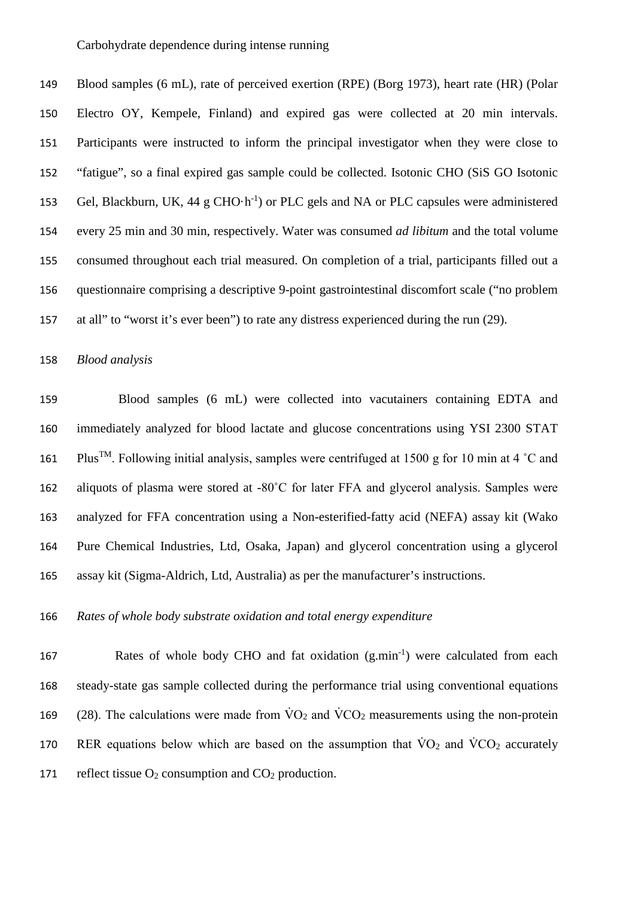Blood samples (6 mL), rate of perceived exertion (RPE) (Borg 1973), heart rate (HR) (Polar Electro OY, Kempele, Finland) and expired gas were collected at 20 min intervals. Participants were instructed to inform the principal investigator when they were close to "fatigue", so a final expired gas sample could be collected. Isotonic CHO (SiS GO Isotonic 153 Gel, Blackburn, UK, 44 g CHO·h<sup>-1</sup>) or PLC gels and NA or PLC capsules were administered every 25 min and 30 min, respectively. Water was consumed *ad libitum* and the total volume consumed throughout each trial measured. On completion of a trial, participants filled out a questionnaire comprising a descriptive 9-point gastrointestinal discomfort scale ("no problem at all" to "worst it's ever been") to rate any distress experienced during the run (29).

*Blood analysis*

 Blood samples (6 mL) were collected into vacutainers containing EDTA and immediately analyzed for blood lactate and glucose concentrations using YSI 2300 STAT 161 Plus<sup>TM</sup>. Following initial analysis, samples were centrifuged at 1500 g for 10 min at 4 °C and aliquots of plasma were stored at -80˚C for later FFA and glycerol analysis. Samples were analyzed for FFA concentration using a Non-esterified-fatty acid (NEFA) assay kit (Wako Pure Chemical Industries, Ltd, Osaka, Japan) and glycerol concentration using a glycerol assay kit (Sigma-Aldrich, Ltd, Australia) as per the manufacturer's instructions.

*Rates of whole body substrate oxidation and total energy expenditure*

167 Rates of whole body CHO and fat oxidation  $(g.min<sup>-1</sup>)$  were calculated from each steady-state gas sample collected during the performance trial using conventional equations 169 (28). The calculations were made from  $\rm \dot{V}O_2$  and  $\rm \dot{V}CO_2$  measurements using the non-protein 170 RER equations below which are based on the assumption that  $\dot{V}O_2$  and  $\dot{V}CO_2$  accurately 171 reflect tissue  $O_2$  consumption and  $CO_2$  production.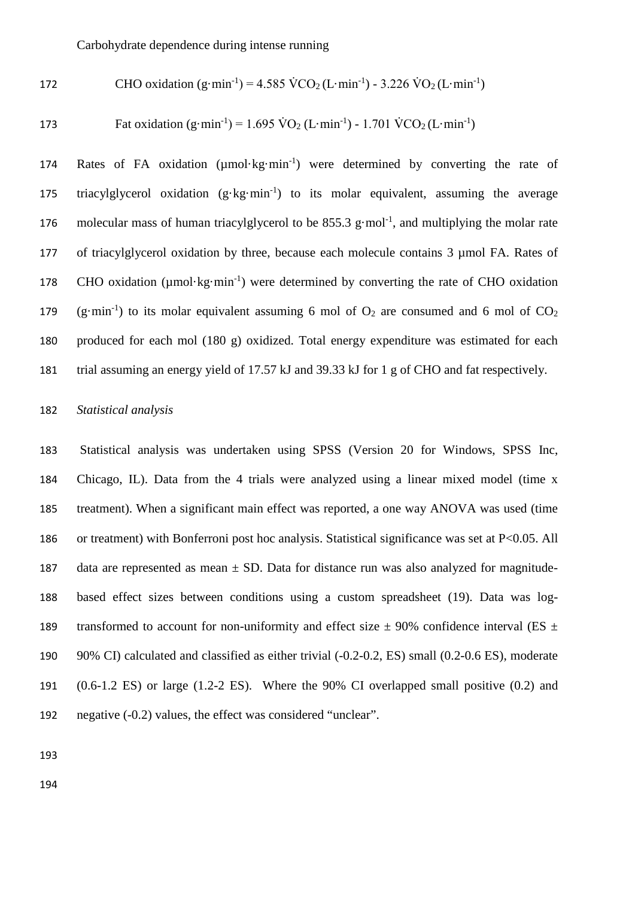172 CHO oxidation (g·min<sup>-1</sup>) = 4.585 
$$
\text{VCO}_2
$$
 (L·min<sup>-1</sup>) - 3.226  $\text{VO}_2$  (L·min<sup>-1</sup>)

173 Fat oxidation (g·min<sup>-1</sup>) = 1.695 
$$
\text{VO}_2
$$
 (L·min<sup>-1</sup>) - 1.701  $\text{VCO}_2$  (L·min<sup>-1</sup>)

174 Rates of FA oxidation ( $\mu$ mol·kg·min<sup>-1</sup>) were determined by converting the rate of 175 triacylglycerol oxidation  $(g \cdot kg \cdot min^{-1})$  to its molar equivalent, assuming the average 176 molecular mass of human triacylglycerol to be  $855.3 \text{ g·mol}^{-1}$ , and multiplying the molar rate 177 of triacylglycerol oxidation by three, because each molecule contains 3 µmol FA. Rates of 178 CHO oxidation ( $\mu$ mol·kg·min<sup>-1</sup>) were determined by converting the rate of CHO oxidation 179 (g·min<sup>-1</sup>) to its molar equivalent assuming 6 mol of  $O_2$  are consumed and 6 mol of  $CO_2$ 180 produced for each mol (180 g) oxidized. Total energy expenditure was estimated for each 181 trial assuming an energy yield of 17.57 kJ and 39.33 kJ for 1 g of CHO and fat respectively.

## 182 *Statistical analysis*

 Statistical analysis was undertaken using SPSS (Version 20 for Windows, SPSS Inc, Chicago, IL). Data from the 4 trials were analyzed using a linear mixed model (time x treatment). When a significant main effect was reported, a one way ANOVA was used (time or treatment) with Bonferroni post hoc analysis. Statistical significance was set at P<0.05. All 187 data are represented as mean  $\pm$  SD. Data for distance run was also analyzed for magnitude- based effect sizes between conditions using a custom spreadsheet (19). Data was log-189 transformed to account for non-uniformity and effect size  $\pm$  90% confidence interval (ES  $\pm$  90% CI) calculated and classified as either trivial (-0.2-0.2, ES) small (0.2-0.6 ES), moderate (0.6-1.2 ES) or large (1.2-2 ES). Where the 90% CI overlapped small positive (0.2) and negative (-0.2) values, the effect was considered "unclear".

193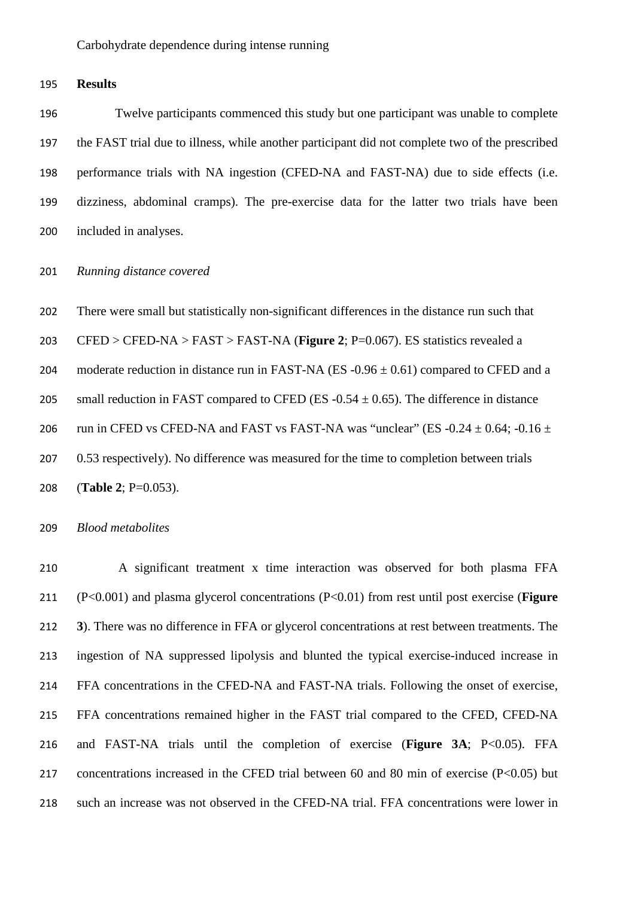**Results**

 Twelve participants commenced this study but one participant was unable to complete the FAST trial due to illness, while another participant did not complete two of the prescribed performance trials with NA ingestion (CFED-NA and FAST-NA) due to side effects (i.e. dizziness, abdominal cramps). The pre-exercise data for the latter two trials have been included in analyses.

#### *Running distance covered*

 There were small but statistically non-significant differences in the distance run such that CFED > CFED-NA > FAST > FAST-NA (**Figure 2**; P=0.067). ES statistics revealed a 204 moderate reduction in distance run in FAST-NA (ES  $-0.96 \pm 0.61$ ) compared to CFED and a 205 small reduction in FAST compared to CFED (ES  $-0.54 \pm 0.65$ ). The difference in distance 206 run in CFED vs CFED-NA and FAST vs FAST-NA was "unclear" (ES -0.24  $\pm$  0.64; -0.16  $\pm$ 207 0.53 respectively). No difference was measured for the time to completion between trials 208 (Table 2; P=0.053).

#### *Blood metabolites*

 A significant treatment x time interaction was observed for both plasma FFA (P<0.001) and plasma glycerol concentrations (P<0.01) from rest until post exercise (**Figure 3**). There was no difference in FFA or glycerol concentrations at rest between treatments. The ingestion of NA suppressed lipolysis and blunted the typical exercise-induced increase in FFA concentrations in the CFED-NA and FAST-NA trials. Following the onset of exercise, FFA concentrations remained higher in the FAST trial compared to the CFED, CFED-NA and FAST-NA trials until the completion of exercise (**Figure 3A**; P<0.05). FFA concentrations increased in the CFED trial between 60 and 80 min of exercise (P<0.05) but such an increase was not observed in the CFED-NA trial. FFA concentrations were lower in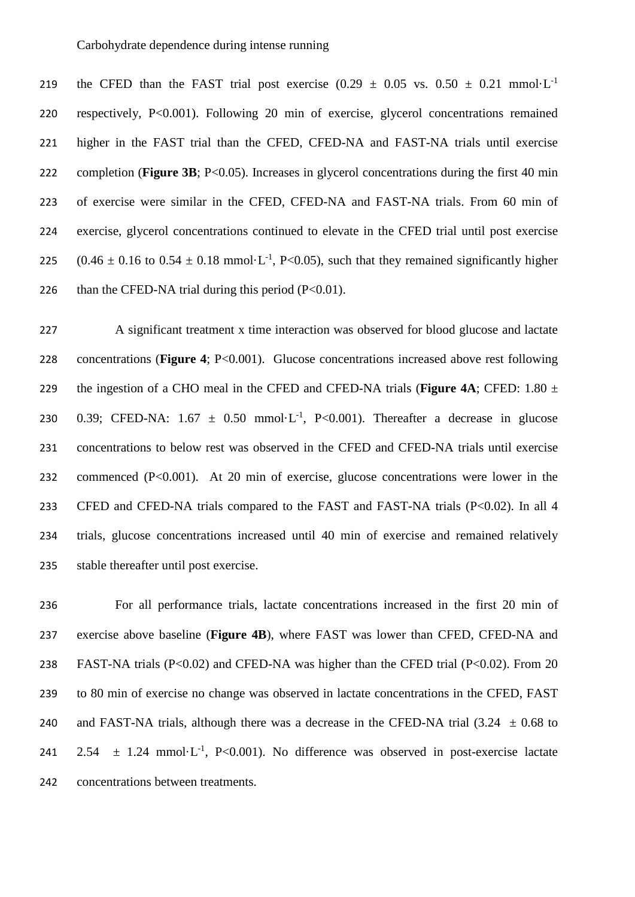219 the CFED than the FAST trial post exercise (0.29  $\pm$  0.05 vs. 0.50  $\pm$  0.21 mmol·L<sup>-1</sup> respectively, P<0.001). Following 20 min of exercise, glycerol concentrations remained higher in the FAST trial than the CFED, CFED-NA and FAST-NA trials until exercise completion (**Figure 3B**; P<0.05). Increases in glycerol concentrations during the first 40 min of exercise were similar in the CFED, CFED-NA and FAST-NA trials. From 60 min of exercise, glycerol concentrations continued to elevate in the CFED trial until post exercise 225  $(0.46 \pm 0.16 \text{ to } 0.54 \pm 0.18 \text{ mmol} \cdot \text{L}^{-1}$ , P<0.05), such that they remained significantly higher 226 than the CFED-NA trial during this period  $(P<0.01)$ .

 A significant treatment x time interaction was observed for blood glucose and lactate concentrations (**Figure 4**; P<0.001). Glucose concentrations increased above rest following 229 the ingestion of a CHO meal in the CFED and CFED-NA trials (**Figure 4A**; CFED:  $1.80 \pm$ 230 0.39; CFED-NA:  $1.67 \pm 0.50$  mmol·L<sup>-1</sup>, P<0.001). Thereafter a decrease in glucose concentrations to below rest was observed in the CFED and CFED-NA trials until exercise commenced (P<0.001). At 20 min of exercise, glucose concentrations were lower in the 233 CFED and CFED-NA trials compared to the FAST and FAST-NA trials (P<0.02). In all 4 trials, glucose concentrations increased until 40 min of exercise and remained relatively stable thereafter until post exercise.

 For all performance trials, lactate concentrations increased in the first 20 min of exercise above baseline (**Figure 4B**), where FAST was lower than CFED, CFED-NA and FAST-NA trials (P<0.02) and CFED-NA was higher than the CFED trial (P<0.02). From 20 to 80 min of exercise no change was observed in lactate concentrations in the CFED, FAST 240 and FAST-NA trials, although there was a decrease in the CFED-NA trial  $(3.24 \pm 0.68 \text{ to } 10^{-12})$  $2.54 \pm 1.24$  mmol·L<sup>-1</sup>, P<0.001). No difference was observed in post-exercise lactate concentrations between treatments.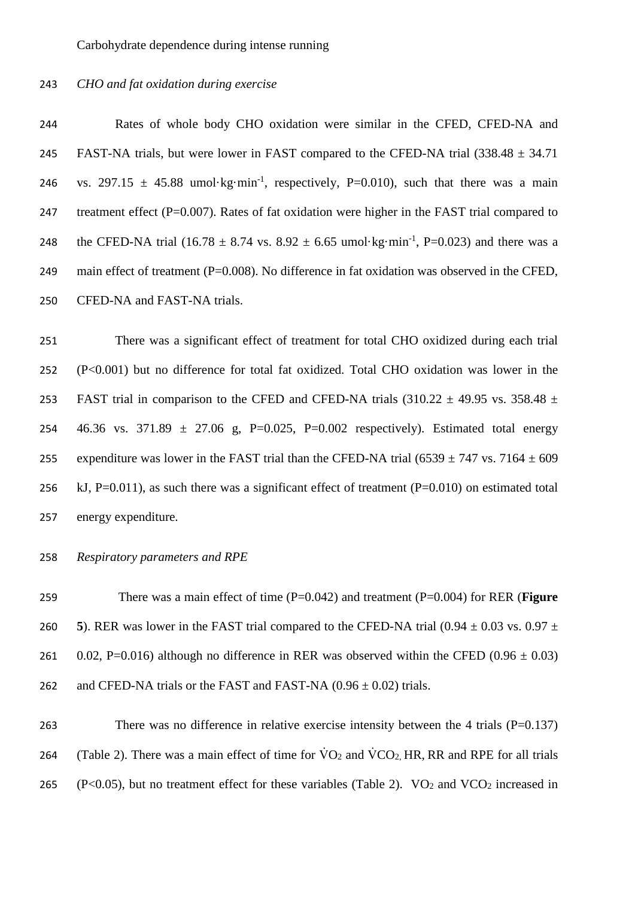## 243 *CHO and fat oxidation during exercise*

244 Rates of whole body CHO oxidation were similar in the CFED, CFED-NA and 245 FAST-NA trials, but were lower in FAST compared to the CFED-NA trial  $(338.48 \pm 34.71)$ 246 vs. 297.15  $\pm$  45.88 umol·kg·min<sup>-1</sup>, respectively, P=0.010), such that there was a main 247 treatment effect (P=0.007). Rates of fat oxidation were higher in the FAST trial compared to 248 the CFED-NA trial (16.78  $\pm$  8.74 vs. 8.92  $\pm$  6.65 umol·kg·min<sup>-1</sup>, P=0.023) and there was a 249 main effect of treatment (P=0.008). No difference in fat oxidation was observed in the CFED, 250 CFED-NA and FAST-NA trials.

251 There was a significant effect of treatment for total CHO oxidized during each trial 252 (P<0.001) but no difference for total fat oxidized. Total CHO oxidation was lower in the 253 FAST trial in comparison to the CFED and CFED-NA trials  $(310.22 \pm 49.95 \text{ vs. } 358.48 \pm 1.000 \text{ s})$ 254 46.36 vs. 371.89  $\pm$  27.06 g, P=0.025, P=0.002 respectively). Estimated total energy 255 expenditure was lower in the FAST trial than the CFED-NA trial  $(6539 \pm 747 \text{ vs. } 7164 \pm 609 \text{ s})$ 256 kJ, P=0.011), as such there was a significant effect of treatment  $(P=0.010)$  on estimated total 257 energy expenditure.

## 258 *Respiratory parameters and RPE*

259 There was a main effect of time (P=0.042) and treatment (P=0.004) for RER (**Figure**  260 **5**). RER was lower in the FAST trial compared to the CFED-NA trial  $(0.94 \pm 0.03 \text{ vs. } 0.97 \pm 0.03 \text{ vs. } 0.97 \pm 0.03 \text{ vs. } 0.97 \pm 0.03 \text{ vs. } 0.97 \pm 0.03 \text{ vs. } 0.97 \pm 0.03 \text{ vs. } 0.97 \pm 0.03 \text{ vs. } 0.97 \pm 0.03 \text{ vs. } 0.9$ 261 0.02, P=0.016) although no difference in RER was observed within the CFED  $(0.96 \pm 0.03)$ 262 and CFED-NA trials or the FAST and FAST-NA  $(0.96 \pm 0.02)$  trials.

263 There was no difference in relative exercise intensity between the 4 trials (P=0.137) 264 (Table 2). There was a main effect of time for  $\rm \dot{V}O_2$  and  $\rm \dot{V}CO_2$ , HR, RR and RPE for all trials 265 (P<0.05), but no treatment effect for these variables (Table 2).  $VO<sub>2</sub>$  and  $VCO<sub>2</sub>$  increased in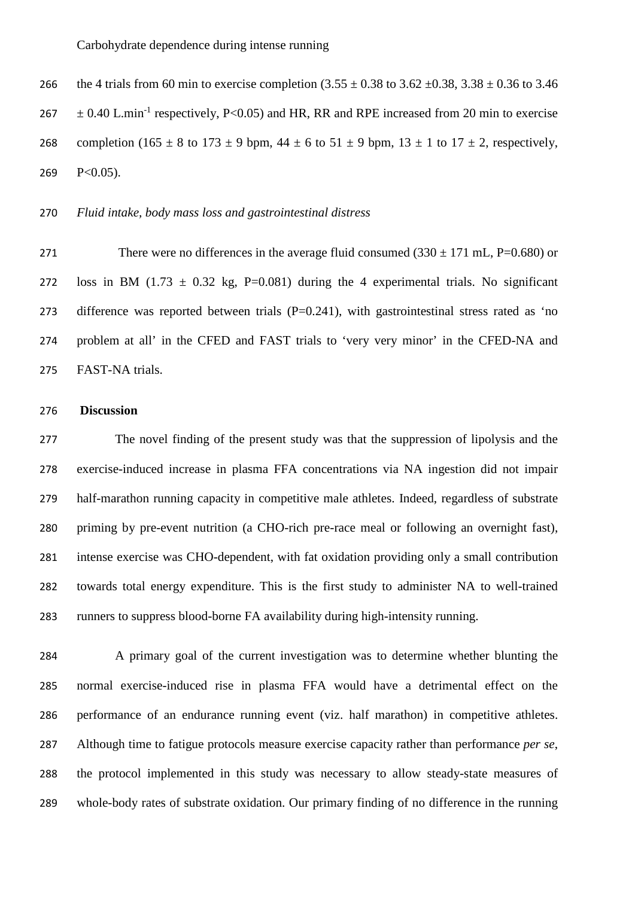266 the 4 trials from 60 min to exercise completion  $(3.55 \pm 0.38 \text{ to } 3.62 \pm 0.38, 3.38 \pm 0.36 \text{ to } 3.46)$  $\pm 0.40$  L.min<sup>-1</sup> respectively, P<0.05) and HR, RR and RPE increased from 20 min to exercise 268 completion (165  $\pm$  8 to 173  $\pm$  9 bpm, 44  $\pm$  6 to 51  $\pm$  9 bpm, 13  $\pm$  1 to 17  $\pm$  2, respectively, 269  $P<0.05$ ).

#### *Fluid intake, body mass loss and gastrointestinal distress*

271 There were no differences in the average fluid consumed  $(330 \pm 171 \text{ mL}, P=0.680)$  or 272 loss in BM (1.73  $\pm$  0.32 kg, P=0.081) during the 4 experimental trials. No significant 273 difference was reported between trials  $(P=0.241)$ , with gastrointestinal stress rated as 'no problem at all' in the CFED and FAST trials to 'very very minor' in the CFED-NA and FAST-NA trials.

#### **Discussion**

 The novel finding of the present study was that the suppression of lipolysis and the exercise-induced increase in plasma FFA concentrations via NA ingestion did not impair half-marathon running capacity in competitive male athletes. Indeed, regardless of substrate priming by pre-event nutrition (a CHO-rich pre-race meal or following an overnight fast), intense exercise was CHO-dependent, with fat oxidation providing only a small contribution towards total energy expenditure. This is the first study to administer NA to well-trained runners to suppress blood-borne FA availability during high-intensity running.

 A primary goal of the current investigation was to determine whether blunting the normal exercise-induced rise in plasma FFA would have a detrimental effect on the performance of an endurance running event (viz. half marathon) in competitive athletes. Although time to fatigue protocols measure exercise capacity rather than performance *per se*, the protocol implemented in this study was necessary to allow steady-state measures of whole-body rates of substrate oxidation. Our primary finding of no difference in the running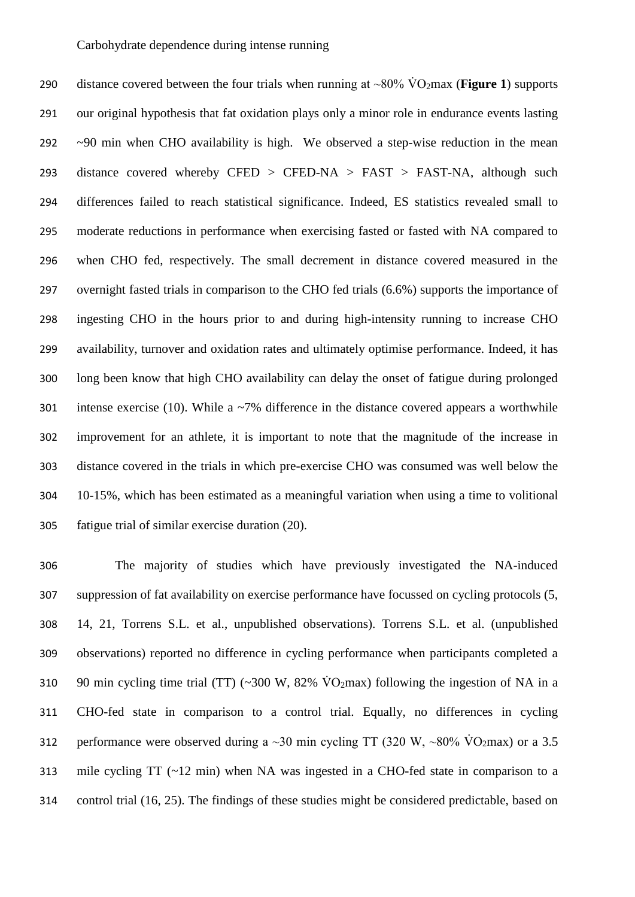290 distance covered between the four trials when running at  $\sim 80\% \text{ VO}_2$  max (**Figure 1**) supports our original hypothesis that fat oxidation plays only a minor role in endurance events lasting ~90 min when CHO availability is high. We observed a step-wise reduction in the mean 293 distance covered whereby CFED > CFED-NA > FAST > FAST-NA, although such differences failed to reach statistical significance. Indeed, ES statistics revealed small to moderate reductions in performance when exercising fasted or fasted with NA compared to when CHO fed, respectively. The small decrement in distance covered measured in the overnight fasted trials in comparison to the CHO fed trials (6.6%) supports the importance of ingesting CHO in the hours prior to and during high-intensity running to increase CHO availability, turnover and oxidation rates and ultimately optimise performance. Indeed, it has long been know that high CHO availability can delay the onset of fatigue during prolonged 301 intense exercise (10). While a  $\sim$ 7% difference in the distance covered appears a worthwhile improvement for an athlete, it is important to note that the magnitude of the increase in distance covered in the trials in which pre-exercise CHO was consumed was well below the 10-15%, which has been estimated as a meaningful variation when using a time to volitional fatigue trial of similar exercise duration (20).

 The majority of studies which have previously investigated the NA-induced suppression of fat availability on exercise performance have focussed on cycling protocols (5, 14, 21, Torrens S.L. et al., unpublished observations). Torrens S.L. et al. (unpublished observations) reported no difference in cycling performance when participants completed a 310 90 min cycling time trial (TT) (~300 W, 82%  $\overline{VO}_2$  max) following the ingestion of NA in a CHO-fed state in comparison to a control trial. Equally, no differences in cycling 312 performance were observed during a  $\sim$ 30 min cycling TT (320 W,  $\sim$ 80% VO<sub>2</sub>max) or a 3.5 mile cycling TT (~12 min) when NA was ingested in a CHO-fed state in comparison to a control trial (16, 25). The findings of these studies might be considered predictable, based on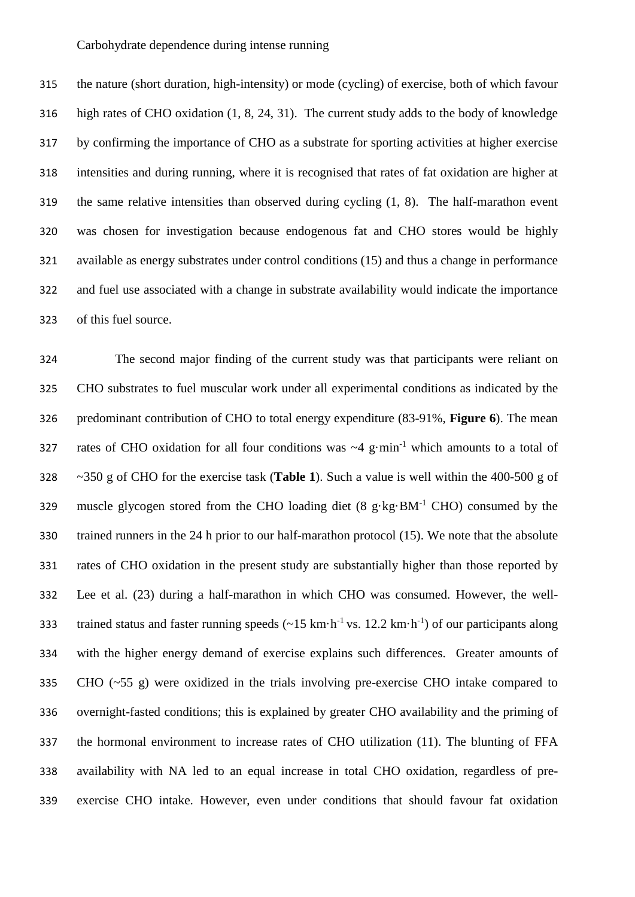the nature (short duration, high-intensity) or mode (cycling) of exercise, both of which favour high rates of CHO oxidation (1, 8, 24, 31). The current study adds to the body of knowledge by confirming the importance of CHO as a substrate for sporting activities at higher exercise intensities and during running, where it is recognised that rates of fat oxidation are higher at the same relative intensities than observed during cycling (1, 8). The half-marathon event was chosen for investigation because endogenous fat and CHO stores would be highly available as energy substrates under control conditions (15) and thus a change in performance and fuel use associated with a change in substrate availability would indicate the importance of this fuel source.

 The second major finding of the current study was that participants were reliant on CHO substrates to fuel muscular work under all experimental conditions as indicated by the predominant contribution of CHO to total energy expenditure (83-91%, **Figure 6**). The mean 327 rates of CHO oxidation for all four conditions was  $\sim$ 4 g·min<sup>-1</sup> which amounts to a total of ~350 g of CHO for the exercise task (**Table 1**). Such a value is well within the 400-500 g of 329 muscle glycogen stored from the CHO loading diet  $(8 \text{ g} \cdot \text{kg} \cdot \text{BM}^{-1} \text{ CHO})$  consumed by the trained runners in the 24 h prior to our half-marathon protocol (15). We note that the absolute rates of CHO oxidation in the present study are substantially higher than those reported by Lee et al. (23) during a half-marathon in which CHO was consumed. However, the welltrained status and faster running speeds  $({\sim}15 \text{ km} \cdot \text{h}^{-1} \text{ vs. } 12.2 \text{ km} \cdot \text{h}^{-1})$  of our participants along with the higher energy demand of exercise explains such differences. Greater amounts of CHO (~55 g) were oxidized in the trials involving pre-exercise CHO intake compared to overnight-fasted conditions; this is explained by greater CHO availability and the priming of the hormonal environment to increase rates of CHO utilization (11). The blunting of FFA availability with NA led to an equal increase in total CHO oxidation, regardless of pre-exercise CHO intake. However, even under conditions that should favour fat oxidation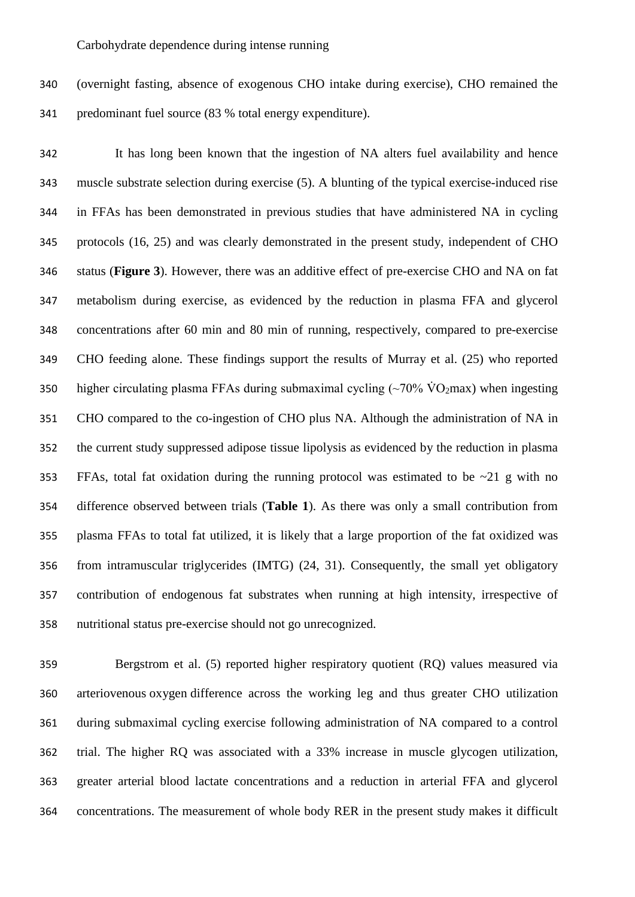(overnight fasting, absence of exogenous CHO intake during exercise), CHO remained the predominant fuel source (83 % total energy expenditure).

 It has long been known that the ingestion of NA alters fuel availability and hence muscle substrate selection during exercise (5). A blunting of the typical exercise-induced rise in FFAs has been demonstrated in previous studies that have administered NA in cycling protocols (16, 25) and was clearly demonstrated in the present study, independent of CHO status (**Figure 3**). However, there was an additive effect of pre-exercise CHO and NA on fat metabolism during exercise, as evidenced by the reduction in plasma FFA and glycerol concentrations after 60 min and 80 min of running, respectively, compared to pre-exercise CHO feeding alone. These findings support the results of Murray et al. (25) who reported 350 higher circulating plasma FFAs during submaximal cycling  $(\sim 70\% \text{ VO}_2 \text{max})$  when ingesting CHO compared to the co-ingestion of CHO plus NA. Although the administration of NA in the current study suppressed adipose tissue lipolysis as evidenced by the reduction in plasma 353 FFAs, total fat oxidation during the running protocol was estimated to be  $\sim$ 21 g with no difference observed between trials (**Table 1**). As there was only a small contribution from plasma FFAs to total fat utilized, it is likely that a large proportion of the fat oxidized was from intramuscular triglycerides (IMTG) (24, 31). Consequently, the small yet obligatory contribution of endogenous fat substrates when running at high intensity, irrespective of nutritional status pre-exercise should not go unrecognized.

 Bergstrom et al. (5) reported higher respiratory quotient (RQ) values measured via arteriovenous oxygen difference across the working leg and thus greater CHO utilization during submaximal cycling exercise following administration of NA compared to a control trial. The higher RQ was associated with a 33% increase in muscle glycogen utilization, greater arterial blood lactate concentrations and a reduction in arterial FFA and glycerol concentrations. The measurement of whole body RER in the present study makes it difficult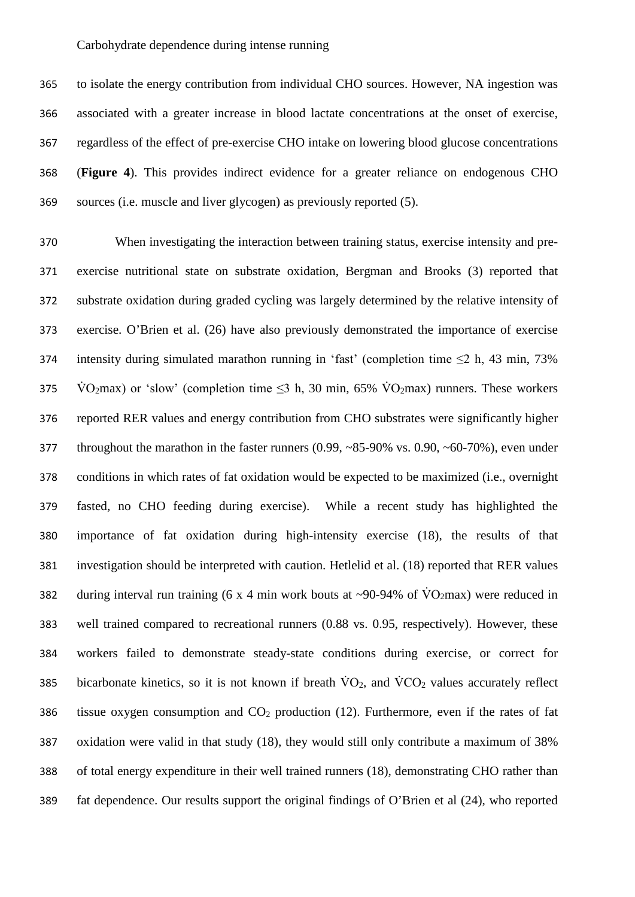to isolate the energy contribution from individual CHO sources. However, NA ingestion was associated with a greater increase in blood lactate concentrations at the onset of exercise, regardless of the effect of pre-exercise CHO intake on lowering blood glucose concentrations (**Figure 4**). This provides indirect evidence for a greater reliance on endogenous CHO sources (i.e. muscle and liver glycogen) as previously reported (5).

 When investigating the interaction between training status, exercise intensity and pre- exercise nutritional state on substrate oxidation, Bergman and Brooks (3) reported that substrate oxidation during graded cycling was largely determined by the relative intensity of exercise. O'Brien et al. (26) have also previously demonstrated the importance of exercise 374 intensity during simulated marathon running in 'fast' (completion time  $\leq$ 2 h, 43 min, 73% 375 VO2max) or 'slow' (completion time  $\leq$ 3 h, 30 min, 65% VO2max) runners. These workers reported RER values and energy contribution from CHO substrates were significantly higher 377 throughout the marathon in the faster runners (0.99, ~85-90% vs. 0.90, ~60-70%), even under conditions in which rates of fat oxidation would be expected to be maximized (i.e., overnight fasted, no CHO feeding during exercise). While a recent study has highlighted the importance of fat oxidation during high-intensity exercise (18), the results of that investigation should be interpreted with caution. Hetlelid et al. (18) reported that RER values 382 during interval run training (6 x 4 min work bouts at ~90-94% of  $\rm\dot{VO}_{2}$  max) were reduced in well trained compared to recreational runners (0.88 vs. 0.95, respectively). However, these workers failed to demonstrate steady-state conditions during exercise, or correct for 385 bicarbonate kinetics, so it is not known if breath  $\dot{V}O_2$ , and  $\dot{V}CO_2$  values accurately reflect 386 tissue oxygen consumption and  $CO<sub>2</sub>$  production (12). Furthermore, even if the rates of fat oxidation were valid in that study (18), they would still only contribute a maximum of 38% of total energy expenditure in their well trained runners (18), demonstrating CHO rather than fat dependence. Our results support the original findings of O'Brien et al (24), who reported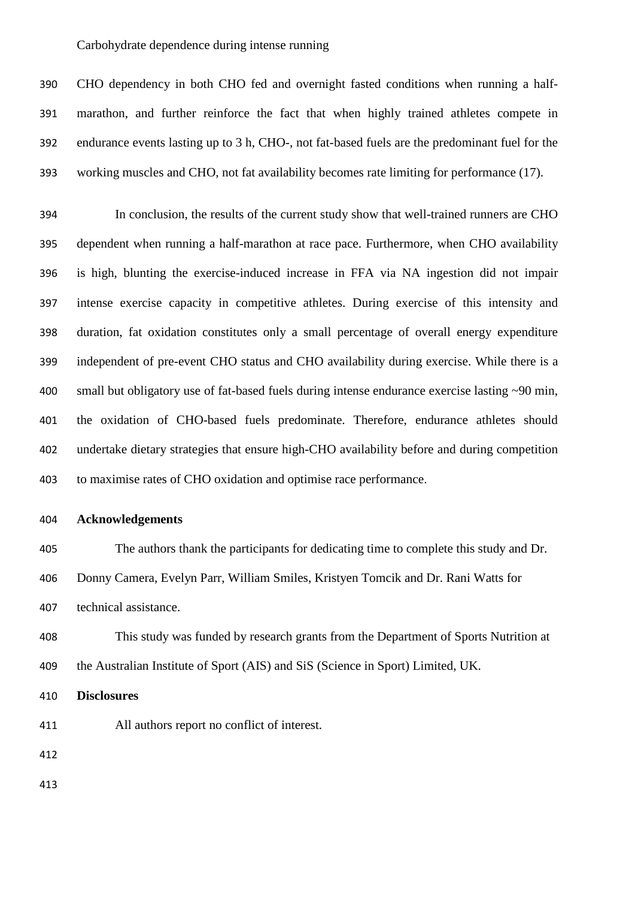CHO dependency in both CHO fed and overnight fasted conditions when running a half- marathon, and further reinforce the fact that when highly trained athletes compete in endurance events lasting up to 3 h, CHO-, not fat-based fuels are the predominant fuel for the working muscles and CHO, not fat availability becomes rate limiting for performance (17).

 In conclusion, the results of the current study show that well-trained runners are CHO dependent when running a half-marathon at race pace. Furthermore, when CHO availability is high, blunting the exercise-induced increase in FFA via NA ingestion did not impair intense exercise capacity in competitive athletes. During exercise of this intensity and duration, fat oxidation constitutes only a small percentage of overall energy expenditure independent of pre-event CHO status and CHO availability during exercise. While there is a small but obligatory use of fat-based fuels during intense endurance exercise lasting ~90 min, the oxidation of CHO-based fuels predominate. Therefore, endurance athletes should undertake dietary strategies that ensure high-CHO availability before and during competition to maximise rates of CHO oxidation and optimise race performance.

**Acknowledgements**

 The authors thank the participants for dedicating time to complete this study and Dr. Donny Camera, Evelyn Parr, William Smiles, Kristyen Tomcik and Dr. Rani Watts for

technical assistance.

 This study was funded by research grants from the Department of Sports Nutrition at the Australian Institute of Sport (AIS) and SiS (Science in Sport) Limited, UK.

## **Disclosures**

All authors report no conflict of interest.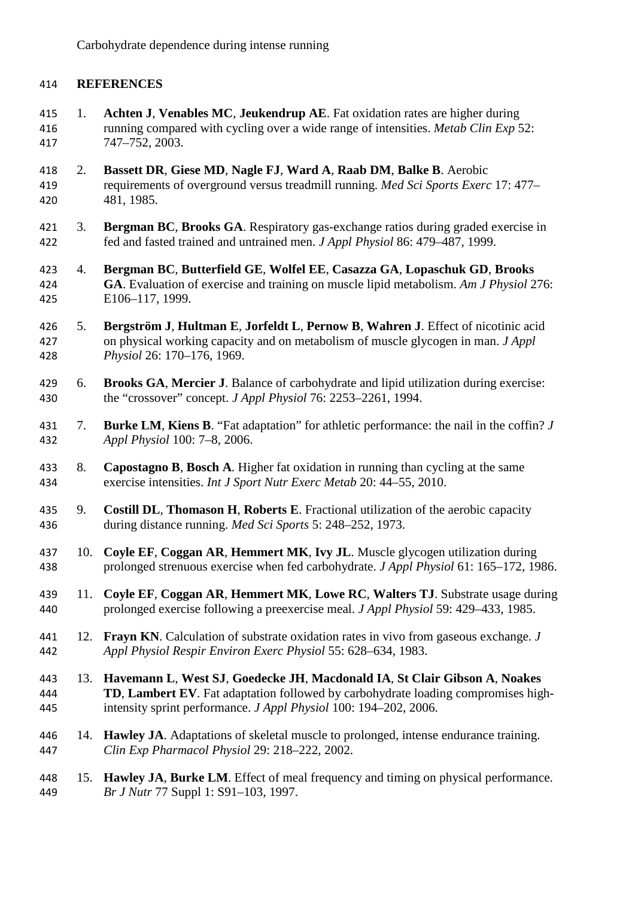## **REFERENCES**

- 1. **Achten J**, **Venables MC**, **Jeukendrup AE**. Fat oxidation rates are higher during running compared with cycling over a wide range of intensities. *Metab Clin Exp* 52: 747–752, 2003.
- 2. **Bassett DR**, **Giese MD**, **Nagle FJ**, **Ward A**, **Raab DM**, **Balke B**. Aerobic requirements of overground versus treadmill running. *Med Sci Sports Exerc* 17: 477– 481, 1985.
- 3. **Bergman BC**, **Brooks GA**. Respiratory gas-exchange ratios during graded exercise in fed and fasted trained and untrained men. *J Appl Physiol* 86: 479–487, 1999.
- 4. **Bergman BC**, **Butterfield GE**, **Wolfel EE**, **Casazza GA**, **Lopaschuk GD**, **Brooks GA**. Evaluation of exercise and training on muscle lipid metabolism. *Am J Physiol* 276: E106–117, 1999.
- 5. **Bergström J**, **Hultman E**, **Jorfeldt L**, **Pernow B**, **Wahren J**. Effect of nicotinic acid on physical working capacity and on metabolism of muscle glycogen in man. *J Appl Physiol* 26: 170–176, 1969.
- 6. **Brooks GA**, **Mercier J**. Balance of carbohydrate and lipid utilization during exercise: the "crossover" concept. *J Appl Physiol* 76: 2253–2261, 1994.
- 7. **Burke LM**, **Kiens B**. "Fat adaptation" for athletic performance: the nail in the coffin? *J Appl Physiol* 100: 7–8, 2006.
- 8. **Capostagno B**, **Bosch A**. Higher fat oxidation in running than cycling at the same exercise intensities. *Int J Sport Nutr Exerc Metab* 20: 44–55, 2010.
- 9. **Costill DL**, **Thomason H**, **Roberts E**. Fractional utilization of the aerobic capacity during distance running. *Med Sci Sports* 5: 248–252, 1973.
- 10. **Coyle EF**, **Coggan AR**, **Hemmert MK**, **Ivy JL**. Muscle glycogen utilization during prolonged strenuous exercise when fed carbohydrate. *J Appl Physiol* 61: 165–172, 1986.
- 11. **Coyle EF**, **Coggan AR**, **Hemmert MK**, **Lowe RC**, **Walters TJ**. Substrate usage during prolonged exercise following a preexercise meal. *J Appl Physiol* 59: 429–433, 1985.
- 12. **Frayn KN**. Calculation of substrate oxidation rates in vivo from gaseous exchange. *J Appl Physiol Respir Environ Exerc Physiol* 55: 628–634, 1983.
- 13. **Havemann L**, **West SJ**, **Goedecke JH**, **Macdonald IA**, **St Clair Gibson A**, **Noakes TD**, **Lambert EV**. Fat adaptation followed by carbohydrate loading compromises high-intensity sprint performance. *J Appl Physiol* 100: 194–202, 2006.
- 14. **Hawley JA**. Adaptations of skeletal muscle to prolonged, intense endurance training. *Clin Exp Pharmacol Physiol* 29: 218–222, 2002.
- 15. **Hawley JA**, **Burke LM**. Effect of meal frequency and timing on physical performance. *Br J Nutr* 77 Suppl 1: S91–103, 1997.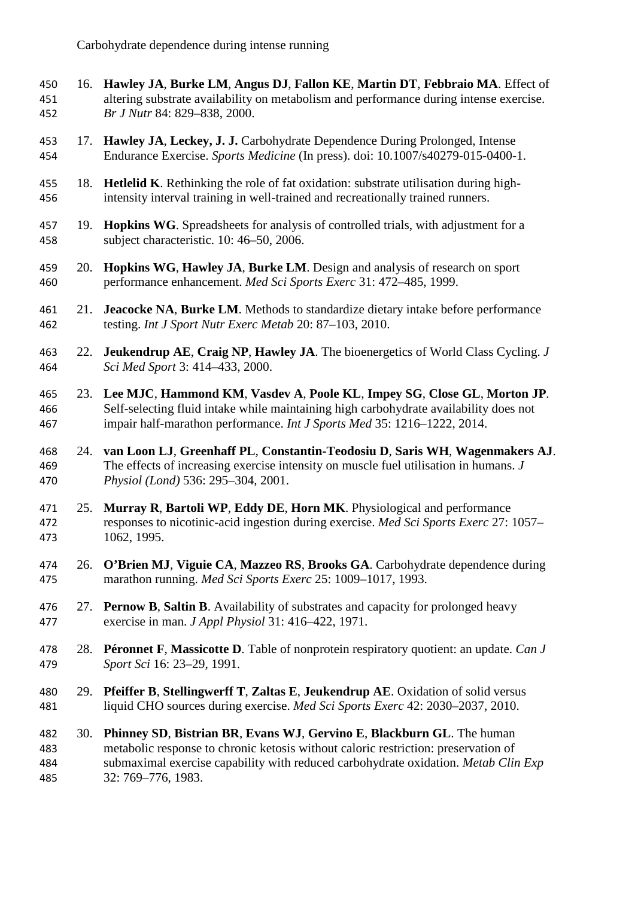- 16. **Hawley JA**, **Burke LM**, **Angus DJ**, **Fallon KE**, **Martin DT**, **Febbraio MA**. Effect of altering substrate availability on metabolism and performance during intense exercise. *Br J Nutr* 84: 829–838, 2000.
- 17. **Hawley JA**, **Leckey, J. J.** Carbohydrate Dependence During Prolonged, Intense Endurance Exercise. *Sports Medicine* (In press). doi: 10.1007/s40279-015-0400-1.
- 18. **Hetlelid K**. Rethinking the role of fat oxidation: substrate utilisation during high-intensity interval training in well-trained and recreationally trained runners.
- 19. **Hopkins WG**. Spreadsheets for analysis of controlled trials, with adjustment for a subject characteristic. 10: 46–50, 2006.
- 20. **Hopkins WG**, **Hawley JA**, **Burke LM**. Design and analysis of research on sport performance enhancement. *Med Sci Sports Exerc* 31: 472–485, 1999.
- 21. **Jeacocke NA**, **Burke LM**. Methods to standardize dietary intake before performance testing. *Int J Sport Nutr Exerc Metab* 20: 87–103, 2010.
- 22. **Jeukendrup AE**, **Craig NP**, **Hawley JA**. The bioenergetics of World Class Cycling. *J Sci Med Sport* 3: 414–433, 2000.
- 23. **Lee MJC**, **Hammond KM**, **Vasdev A**, **Poole KL**, **Impey SG**, **Close GL**, **Morton JP**. Self-selecting fluid intake while maintaining high carbohydrate availability does not impair half-marathon performance. *Int J Sports Med* 35: 1216–1222, 2014.
- 24. **van Loon LJ**, **Greenhaff PL**, **Constantin-Teodosiu D**, **Saris WH**, **Wagenmakers AJ**. The effects of increasing exercise intensity on muscle fuel utilisation in humans. *J Physiol (Lond)* 536: 295–304, 2001.
- 25. **Murray R**, **Bartoli WP**, **Eddy DE**, **Horn MK**. Physiological and performance responses to nicotinic-acid ingestion during exercise. *Med Sci Sports Exerc* 27: 1057– 1062, 1995.
- 26. **O'Brien MJ**, **Viguie CA**, **Mazzeo RS**, **Brooks GA**. Carbohydrate dependence during marathon running. *Med Sci Sports Exerc* 25: 1009–1017, 1993.
- 27. **Pernow B**, **Saltin B**. Availability of substrates and capacity for prolonged heavy exercise in man. *J Appl Physiol* 31: 416–422, 1971.
- 28. **Péronnet F**, **Massicotte D**. Table of nonprotein respiratory quotient: an update. *Can J Sport Sci* 16: 23–29, 1991.
- 29. **Pfeiffer B**, **Stellingwerff T**, **Zaltas E**, **Jeukendrup AE**. Oxidation of solid versus liquid CHO sources during exercise. *Med Sci Sports Exerc* 42: 2030–2037, 2010.
- 30. **Phinney SD**, **Bistrian BR**, **Evans WJ**, **Gervino E**, **Blackburn GL**. The human metabolic response to chronic ketosis without caloric restriction: preservation of submaximal exercise capability with reduced carbohydrate oxidation. *Metab Clin Exp* 32: 769–776, 1983.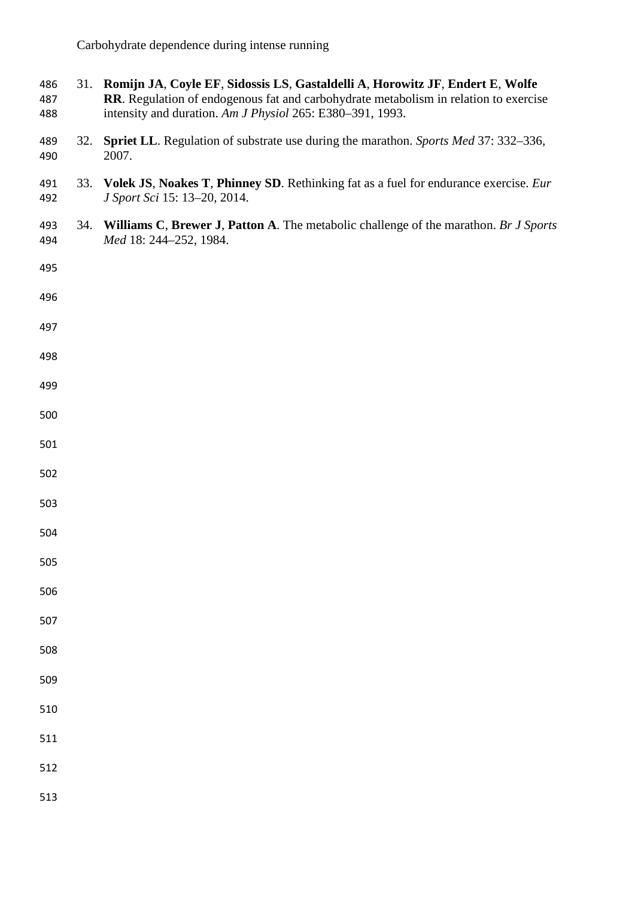| 486<br>487<br>488 |     | 31. Romijn JA, Coyle EF, Sidossis LS, Gastaldelli A, Horowitz JF, Endert E, Wolfe<br>RR. Regulation of endogenous fat and carbohydrate metabolism in relation to exercise<br>intensity and duration. Am J Physiol 265: E380-391, 1993. |
|-------------------|-----|----------------------------------------------------------------------------------------------------------------------------------------------------------------------------------------------------------------------------------------|
| 489<br>490        | 32. | Spriet LL. Regulation of substrate use during the marathon. Sports Med 37: 332-336,<br>2007.                                                                                                                                           |
| 491<br>492        | 33. | Volek JS, Noakes T, Phinney SD. Rethinking fat as a fuel for endurance exercise. Eur<br>J Sport Sci 15: 13-20, 2014.                                                                                                                   |
| 493<br>494        | 34. | Williams C, Brewer J, Patton A. The metabolic challenge of the marathon. Br J Sports<br>Med 18: 244-252, 1984.                                                                                                                         |
| 495               |     |                                                                                                                                                                                                                                        |
| 496               |     |                                                                                                                                                                                                                                        |
| 497               |     |                                                                                                                                                                                                                                        |
| 498               |     |                                                                                                                                                                                                                                        |
| 499               |     |                                                                                                                                                                                                                                        |
| 500               |     |                                                                                                                                                                                                                                        |
| 501               |     |                                                                                                                                                                                                                                        |
| 502               |     |                                                                                                                                                                                                                                        |
| 503               |     |                                                                                                                                                                                                                                        |
| 504               |     |                                                                                                                                                                                                                                        |
| 505               |     |                                                                                                                                                                                                                                        |
| 506               |     |                                                                                                                                                                                                                                        |
| 507               |     |                                                                                                                                                                                                                                        |
| 508               |     |                                                                                                                                                                                                                                        |
| 509               |     |                                                                                                                                                                                                                                        |
| 510               |     |                                                                                                                                                                                                                                        |
| 511               |     |                                                                                                                                                                                                                                        |
| 512               |     |                                                                                                                                                                                                                                        |
| 513               |     |                                                                                                                                                                                                                                        |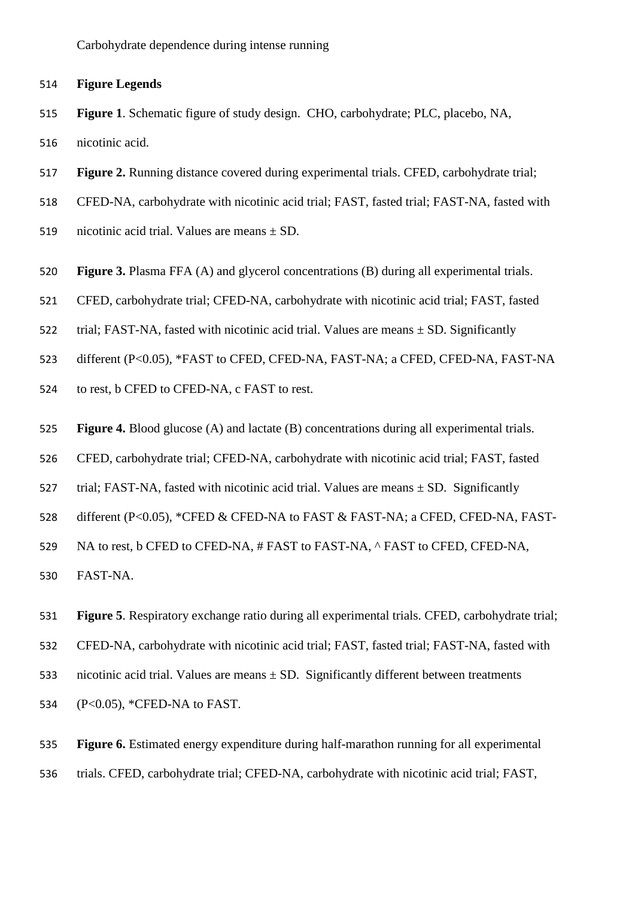**Figure Legends**

- **Figure 1**. Schematic figure of study design. CHO, carbohydrate; PLC, placebo, NA, nicotinic acid.
- **Figure 2.** Running distance covered during experimental trials. CFED, carbohydrate trial;
- CFED-NA, carbohydrate with nicotinic acid trial; FAST, fasted trial; FAST-NA, fasted with
- 519 nicotinic acid trial. Values are means  $\pm$  SD.
- **Figure 3.** Plasma FFA (A) and glycerol concentrations (B) during all experimental trials.
- CFED, carbohydrate trial; CFED-NA, carbohydrate with nicotinic acid trial; FAST, fasted
- 522 trial; FAST-NA, fasted with nicotinic acid trial. Values are means  $\pm$  SD. Significantly
- different (P<0.05), \*FAST to CFED, CFED-NA, FAST-NA; a CFED, CFED-NA, FAST-NA
- to rest, b CFED to CFED-NA, c FAST to rest.
- **Figure 4.** Blood glucose (A) and lactate (B) concentrations during all experimental trials.
- CFED, carbohydrate trial; CFED-NA, carbohydrate with nicotinic acid trial; FAST, fasted
- 527 trial; FAST-NA, fasted with nicotinic acid trial. Values are means  $\pm$  SD. Significantly
- different (P<0.05), \*CFED & CFED-NA to FAST & FAST-NA; a CFED, CFED-NA, FAST-
- 529 NA to rest, b CFED to CFED-NA, # FAST to FAST-NA, ^ FAST to CFED, CFED-NA,
- FAST-NA.
- **Figure 5**. Respiratory exchange ratio during all experimental trials. CFED, carbohydrate trial;
- CFED-NA, carbohydrate with nicotinic acid trial; FAST, fasted trial; FAST-NA, fasted with
- 533 nicotinic acid trial. Values are means  $\pm$  SD. Significantly different between treatments
- (P<0.05), \*CFED-NA to FAST.
- **Figure 6.** Estimated energy expenditure during half-marathon running for all experimental
- trials. CFED, carbohydrate trial; CFED-NA, carbohydrate with nicotinic acid trial; FAST,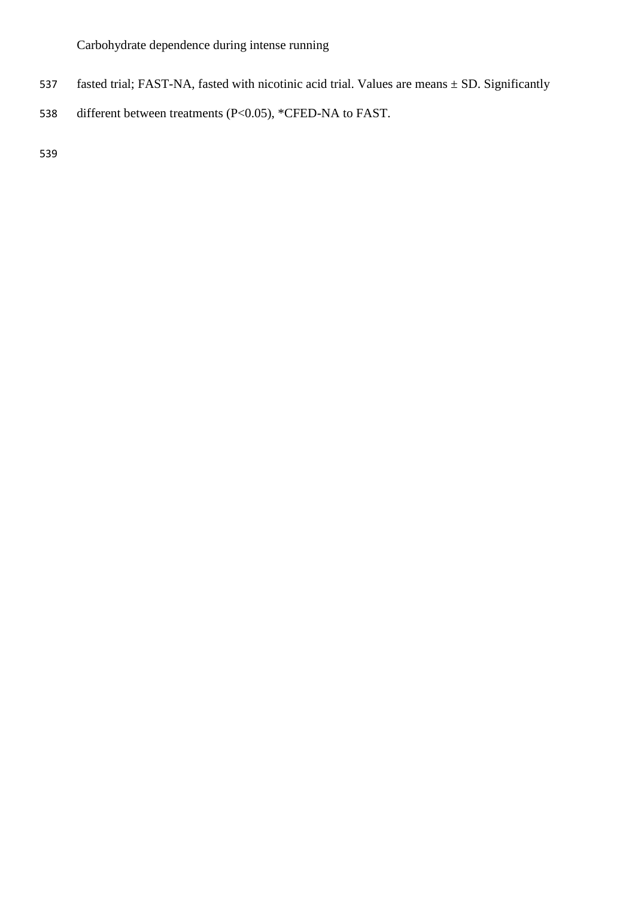- 537 fasted trial; FAST-NA, fasted with nicotinic acid trial. Values are means ± SD. Significantly
- 538 different between treatments (P<0.05), \*CFED-NA to FAST.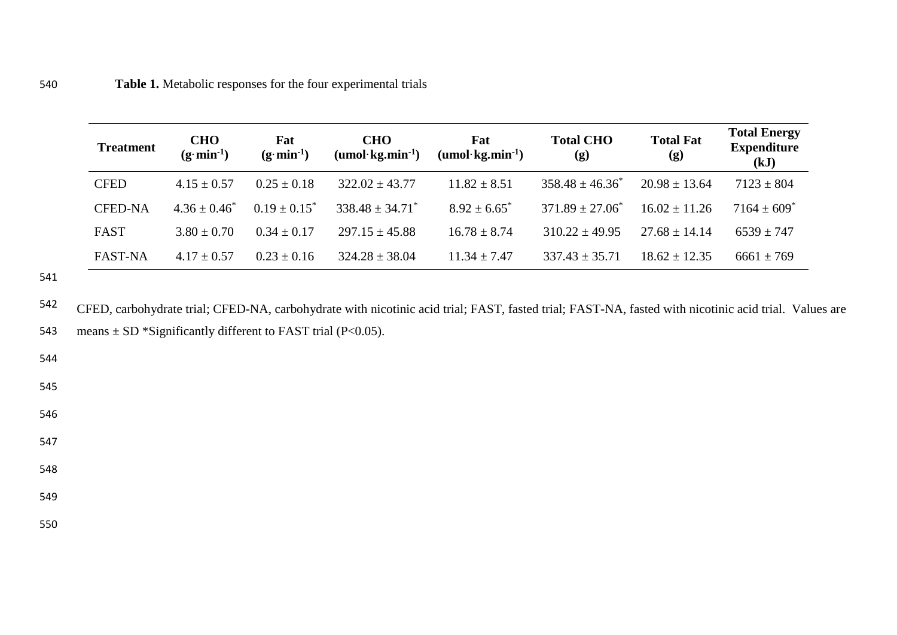| <b>Treatment</b> | <b>CHO</b><br>$(g\cdot \text{min}^{-1})$ | Fat<br>$(g\cdot \text{min}^{-1})$ | <b>CHO</b><br>$(\text{umol·kg.min}^{-1})$ | Fat<br>$(\text{umol·kg.min}^{-1})$ | <b>Total CHO</b><br>(g) | <b>Total Fat</b><br>(g) | <b>Total Energy</b><br><b>Expenditure</b><br>(kJ) |
|------------------|------------------------------------------|-----------------------------------|-------------------------------------------|------------------------------------|-------------------------|-------------------------|---------------------------------------------------|
| <b>CFED</b>      | $4.15 + 0.57$                            | $0.25 + 0.18$                     | $322.02 \pm 43.77$                        | $11.82 \pm 8.51$                   | $358.48 \pm 46.36^*$    | $20.98 \pm 13.64$       | $7123 \pm 804$                                    |
| <b>CFED-NA</b>   | $4.36 \pm 0.46^*$                        | $0.19 \pm 0.15^*$                 | $338.48 \pm 34.71^*$                      | $8.92 \pm 6.65^*$                  | $371.89 \pm 27.06^*$    | $16.02 \pm 11.26$       | $7164 \pm 609$ <sup>*</sup>                       |
| <b>FAST</b>      | $3.80 \pm 0.70$                          | $0.34 + 0.17$                     | $297.15 \pm 45.88$                        | $16.78 \pm 8.74$                   | $310.22 \pm 49.95$      | $27.68 \pm 14.14$       | $6539 \pm 747$                                    |
| <b>FAST-NA</b>   | $4.17 \pm 0.57$                          | $0.23 \pm 0.16$                   | $324.28 \pm 38.04$                        | $11.34 \pm 7.47$                   | $337.43 \pm 35.71$      | $18.62 \pm 12.35$       | $6661 \pm 769$                                    |

541

542 543 CFED, carbohydrate trial; CFED-NA, carbohydrate with nicotinic acid trial; FAST, fasted trial; FAST-NA, fasted with nicotinic acid trial. Values are means  $\pm$  SD \*Significantly different to FAST trial (P<0.05).

544

545

546

547

548

549